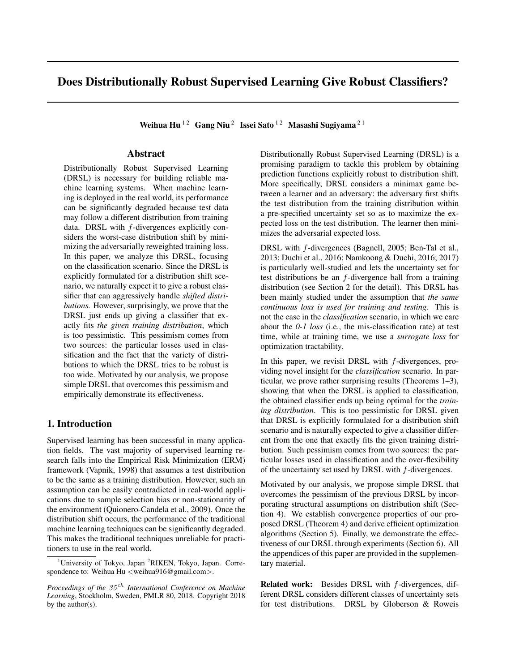# Does Distributionally Robust Supervised Learning Give Robust Classifiers?

Weihua Hu<sup>12</sup> Gang Niu<sup>2</sup> Issei Sato<sup>12</sup> Masashi Sugiyama<sup>21</sup>

# Abstract

Distributionally Robust Supervised Learning (DRSL) is necessary for building reliable machine learning systems. When machine learning is deployed in the real world, its performance can be significantly degraded because test data may follow a different distribution from training data. DRSL with *f*-divergences explicitly considers the worst-case distribution shift by minimizing the adversarially reweighted training loss. In this paper, we analyze this DRSL, focusing on the classification scenario. Since the DRSL is explicitly formulated for a distribution shift scenario, we naturally expect it to give a robust classifier that can aggressively handle *shifted distributions.* However, surprisingly, we prove that the DRSL just ends up giving a classifier that exactly fits *the given training distribution*, which is too pessimistic. This pessimism comes from two sources: the particular losses used in classification and the fact that the variety of distributions to which the DRSL tries to be robust is too wide. Motivated by our analysis, we propose simple DRSL that overcomes this pessimism and empirically demonstrate its effectiveness.

#### 1. Introduction

Supervised learning has been successful in many application fields. The vast majority of supervised learning research falls into the Empirical Risk Minimization (ERM) framework (Vapnik, 1998) that assumes a test distribution to be the same as a training distribution. However, such an assumption can be easily contradicted in real-world applications due to sample selection bias or non-stationarity of the environment (Quionero-Candela et al., 2009). Once the distribution shift occurs, the performance of the traditional machine learning techniques can be significantly degraded. This makes the traditional techniques unreliable for practitioners to use in the real world.

Distributionally Robust Supervised Learning (DRSL) is a promising paradigm to tackle this problem by obtaining prediction functions explicitly robust to distribution shift. More specifically, DRSL considers a minimax game between a learner and an adversary: the adversary first shifts the test distribution from the training distribution within a pre-specified uncertainty set so as to maximize the expected loss on the test distribution. The learner then minimizes the adversarial expected loss.

DRSL with *f*-divergences (Bagnell, 2005; Ben-Tal et al., 2013; Duchi et al., 2016; Namkoong & Duchi, 2016; 2017) is particularly well-studied and lets the uncertainty set for test distributions be an *f*-divergence ball from a training distribution (see Section 2 for the detail). This DRSL has been mainly studied under the assumption that *the same continuous loss is used for training and testing*. This is not the case in the *classification* scenario, in which we care about the *0-1 loss* (i.e., the mis-classification rate) at test time, while at training time, we use a *surrogate loss* for optimization tractability.

In this paper, we revisit DRSL with *f*-divergences, providing novel insight for the *classification* scenario. In particular, we prove rather surprising results (Theorems 1–3), showing that when the DRSL is applied to classification, the obtained classifier ends up being optimal for the *training distribution*. This is too pessimistic for DRSL given that DRSL is explicitly formulated for a distribution shift scenario and is naturally expected to give a classifier different from the one that exactly fits the given training distribution. Such pessimism comes from two sources: the particular losses used in classification and the over-flexibility of the uncertainty set used by DRSL with *f*-divergences.

Motivated by our analysis, we propose simple DRSL that overcomes the pessimism of the previous DRSL by incorporating structural assumptions on distribution shift (Section 4). We establish convergence properties of our proposed DRSL (Theorem 4) and derive efficient optimization algorithms (Section 5). Finally, we demonstrate the effectiveness of our DRSL through experiments (Section 6). All the appendices of this paper are provided in the supplementary material.

Related work: Besides DRSL with *f*-divergences, different DRSL considers different classes of uncertainty sets for test distributions. DRSL by Globerson & Roweis

<sup>&</sup>lt;sup>1</sup>University of Tokyo, Japan<sup>2</sup>RIKEN, Tokyo, Japan. Correspondence to: Weihua Hu *<*weihua916@gmail.com*>*.

*Proceedings of the 35 th International Conference on Machine Learning*, Stockholm, Sweden, PMLR 80, 2018. Copyright 2018 by the author(s).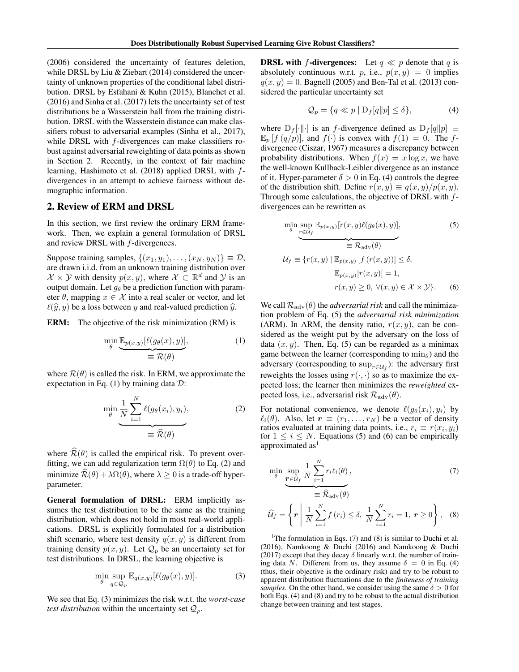(2006) considered the uncertainty of features deletion, while DRSL by Liu & Ziebart (2014) considered the uncertainty of unknown properties of the conditional label distribution. DRSL by Esfahani & Kuhn (2015), Blanchet et al. (2016) and Sinha et al. (2017) lets the uncertainty set of test distributions be a Wasserstein ball from the training distribution. DRSL with the Wasserstein distance can make classifiers robust to adversarial examples (Sinha et al., 2017), while DRSL with *f*-divergences can make classifiers robust against adversarial reweighting of data points as shown in Section 2. Recently, in the context of fair machine learning, Hashimoto et al. (2018) applied DRSL with *f*divergences in an attempt to achieve fairness without demographic information.

#### 2. Review of ERM and DRSL

In this section, we first review the ordinary ERM framework. Then, we explain a general formulation of DRSL and review DRSL with *f*-divergences.

Suppose training samples,  $\{(x_1, y_1), \ldots, (x_N, y_N)\} \equiv \mathcal{D}$ , are drawn i.i.d. from an unknown training distribution over *X* × *Y* with density  $p(x, y)$ , where *X* ⊂  $\mathbb{R}^d$  and *Y* is an output domain. Let  $g_{\theta}$  be a prediction function with parameter  $\theta$ , mapping  $x \in \mathcal{X}$  into a real scaler or vector, and let  $\ell(\hat{y}, y)$  be a loss between *y* and real-valued prediction  $\hat{y}$ .

ERM: The objective of the risk minimization (RM) is

$$
\min_{\theta} \underbrace{\mathbb{E}_{p(x,y)}[\ell(g_{\theta}(x), y)],}_{\equiv \mathcal{R}(\theta)} \tag{1}
$$

where  $\mathcal{R}(\theta)$  is called the risk. In ERM, we approximate the expectation in Eq. (1) by training data *D*:

$$
\min_{\theta} \frac{1}{N} \sum_{i=1}^{N} \ell(g_{\theta}(x_i), y_i),
$$
\n
$$
\equiv \widehat{\mathcal{R}}(\theta)
$$
\n(2)

where  $\widehat{\mathcal{R}}(\theta)$  is called the empirical risk. To prevent overfitting, we can add regularization term  $\Omega(\theta)$  to Eq. (2) and minimize  $\mathcal{R}(\theta) + \lambda \Omega(\theta)$ , where  $\lambda \geq 0$  is a trade-off hyperparameter.

General formulation of DRSL: ERM implicitly assumes the test distribution to be the same as the training distribution, which does not hold in most real-world applications. DRSL is explicitly formulated for a distribution shift scenario, where test density  $q(x, y)$  is different from training density  $p(x, y)$ . Let  $\mathcal{Q}_p$  be an uncertainty set for test distributions. In DRSL, the learning objective is

$$
\min_{\theta} \sup_{q \in \mathcal{Q}_p} \mathbb{E}_{q(x,y)} [\ell(g_{\theta}(x), y)]. \tag{3}
$$

We see that Eq. (3) minimizes the risk w.r.t. the *worst-case test distribution* within the uncertainty set  $Q_p$ .

**DRSL with** *f***-divergences:** Let  $q \ll p$  denote that  $q$  is absolutely continuous w.r.t. *p*, i.e.,  $p(x,y) = 0$  implies  $q(x, y) = 0$ . Bagnell (2005) and Ben-Tal et al. (2013) considered the particular uncertainty set

$$
\mathcal{Q}_p = \{ q \ll p \mid D_f[q || p] \le \delta \},\tag{4}
$$

where  $D_f[\cdot||\cdot]$  is an *f*-divergence defined as  $D_f[q||p] \equiv$  $\mathbb{E}_p[f(q/p)]$ , and  $f(\cdot)$  is convex with  $f(1) = 0$ . The *f*divergence (Ciszar, 1967) measures a discrepancy between probability distributions. When  $f(x) = x \log x$ , we have the well-known Kullback-Leibler divergence as an instance of it. Hyper-parameter  $\delta > 0$  in Eq. (4) controls the degree of the distribution shift. Define  $r(x, y) \equiv q(x, y) / p(x, y)$ . Through some calculations, the objective of DRSL with *f*divergences can be rewritten as

$$
\min_{\theta} \sup_{\tau \in \mathcal{U}_f} \mathbb{E}_{p(x,y)}[r(x,y)\ell(g_{\theta}(x), y)],
$$
\n
$$
\equiv \mathcal{R}_{\text{adv}}(\theta)
$$
\n
$$
\mathcal{U}_f \equiv \{r(x,y) \mid \mathbb{E}_{p(x,y)}[f(r(x,y))] \le \delta,
$$
\n
$$
\mathbb{E}_{p(x,y)}[r(x,y)] = 1,
$$
\n
$$
r(x,y) \ge 0, \forall (x,y) \in \mathcal{X} \times \mathcal{Y}\}.
$$
\n(6)

We call  $\mathcal{R}_{\text{adv}}(\theta)$  the *adversarial risk* and call the minimization problem of Eq. (5) the *adversarial risk minimization* (ARM). In ARM, the density ratio,  $r(x, y)$ , can be considered as the weight put by the adversary on the loss of data  $(x, y)$ . Then, Eq. (5) can be regarded as a minimax game between the learner (corresponding to  $\min_{\theta}$ ) and the adversary (corresponding to  $\sup_{r \in \mathcal{U}_f}$ ): the adversary first reweights the losses using  $r(\cdot, \cdot)$  so as to maximize the expected loss; the learner then minimizes the *reweighted* expected loss, i.e., adversarial risk  $\mathcal{R}_{\text{adv}}(\theta)$ .

For notational convenience, we denote  $\ell(g_{\theta}(x_i), y_i)$  by  $\ell_i(\theta)$ . Also, let  $\mathbf{r} \equiv (r_1, \ldots, r_N)$  be a vector of density ratios evaluated at training data points, i.e.,  $r_i \equiv r(x_i, y_i)$ for  $1 \leq i \leq N$ . Equations (5) and (6) can be empirically approximated as<sup>1</sup>

$$
\min_{\theta} \underbrace{\sup_{\boldsymbol{r} \in \hat{\mathcal{U}}_f} \frac{1}{N} \sum_{i=1}^N r_i \ell_i(\theta)}_{\equiv \widehat{\mathcal{R}}_{\text{adv}}(\theta)},\tag{7}
$$
\n
$$
\widehat{\mathcal{U}}_f = \left\{ \boldsymbol{r} \mid \frac{1}{N} \sum_{i=1}^N f(r_i) \le \delta, \frac{1}{N} \sum_{i=1}^N r_i = 1, \ \boldsymbol{r} \ge 0 \right\},\tag{8}
$$

<sup>1</sup> The formulation in Eqs. (7) and (8) is similar to Duchi et al. (2016), Namkoong & Duchi (2016) and Namkoong & Duchi (2017) except that they decay 
$$
\delta
$$
 linearly w.r.t. the number of training data *N*. Different from us, they assume  $\delta = 0$  in Eq. (4) (thus, their objective is the ordinary risk) and try to be robust to apparent distribution fluctuations due to the *finiteness of training samples*. On the other hand, we consider using the same  $\delta > 0$  for both Eqs. (4) and (8) and try to be robust to the actual distribution

change between training and test stages.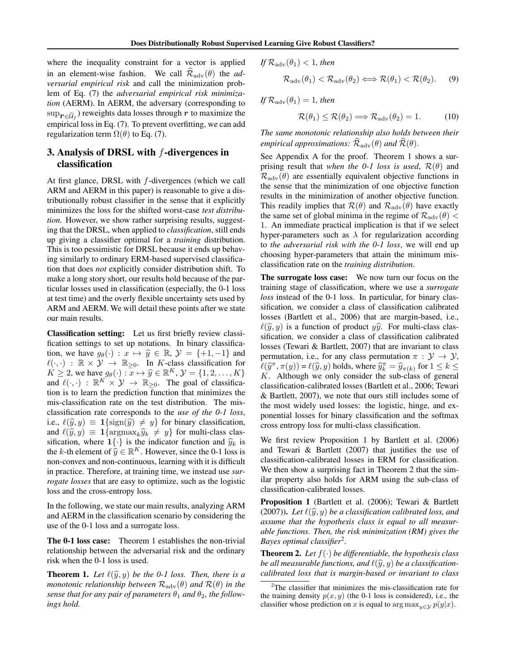where the inequality constraint for a vector is applied in an element-wise fashion. We call  $\mathcal{R}_{\text{adv}}(\theta)$  the *adversarial empirical risk* and call the minimization problem of Eq. (7) the *adversarial empirical risk minimization* (AERM). In AERM, the adversary (corresponding to  $\sup_{\mathbf{r}\in\widehat{\mathcal{U}}_f}$  ) reweights data losses through  $r$  to maximize the empirical loss in Eq. (7). To prevent overfitting, we can add regularization term  $\Omega(\theta)$  to Eq. (7).

# 3. Analysis of DRSL with *f*-divergences in classification

At first glance, DRSL with *f*-divergences (which we call ARM and AERM in this paper) is reasonable to give a distributionally robust classifier in the sense that it explicitly minimizes the loss for the shifted worst-case *test distribution.* However, we show rather surprising results, suggesting that the DRSL, when applied to *classification*, still ends up giving a classifier optimal for a *training* distribution. This is too pessimistic for DRSL because it ends up behaving similarly to ordinary ERM-based supervised classification that does *not* explicitly consider distribution shift. To make a long story short, our results hold because of the particular losses used in classification (especially, the 0-1 loss at test time) and the overly flexible uncertainty sets used by ARM and AERM. We will detail these points after we state our main results.

Classification setting: Let us first briefly review classification settings to set up notations. In binary classification, we have  $g_{\theta}(\cdot) : x \mapsto \hat{y} \in \mathbb{R}, \mathcal{Y} = \{+1, -1\}$  and  $\ell(\cdot, \cdot) : \mathbb{R} \times \mathcal{Y} \to \mathbb{R}_{\geq 0}$ . In *K*-class classification for  $K \geq 2$ , we have  $g_{\theta}(\cdot) : \overline{x} \mapsto \hat{y} \in \mathbb{R}^{K}, \mathcal{Y} = \{1, 2, \ldots, K\}$ and  $\ell(\cdot, \cdot) : \mathbb{R}^K \times \mathcal{Y} \to \mathbb{R}_{\geq 0}$ . The goal of classification is to learn the prediction function that minimizes the mis-classification rate on the test distribution. The misclassification rate corresponds to the *use of the 0-1 loss*, i.e.,  $\ell(\hat{y}, y) \equiv 1$ {sign( $\hat{y}$ )  $\neq y$ } for binary classification, and  $\ell(\widehat{y}, y) \equiv \mathbf{1} \{ \argmax_k \widehat{y}_k \neq y \}$  for multi-class classification, where  $\mathbf{1}\{\cdot\}$  is the indicator function and  $\hat{y}_k$  is the *k*-th element of  $\hat{y} \in \mathbb{R}^K$ . However, since the 0-1 loss is non-convex and non-continuous, learning with it is difficult in practice. Therefore, at training time, we instead use *surrogate losses* that are easy to optimize, such as the logistic loss and the cross-entropy loss.

In the following, we state our main results, analyzing ARM and AERM in the classification scenario by considering the use of the 0-1 loss and a surrogate loss.

The 0-1 loss case: Theorem 1 establishes the non-trivial relationship between the adversarial risk and the ordinary risk when the 0-1 loss is used.

**Theorem 1.** Let  $\ell(\widehat{y}, y)$  be the 0-1 loss. Then, there is a *monotonic relationship between*  $\mathcal{R}_{adv}(\theta)$  *and*  $\mathcal{R}(\theta)$  *in the sense that for any pair of parameters*  $\theta_1$  *and*  $\theta_2$ *, the followings hold.*

$$
If \mathcal{R}_{\text{adv}}(\theta_1) < 1, then
$$

$$
\mathcal{R}_{\text{adv}}(\theta_1) < \mathcal{R}_{\text{adv}}(\theta_2) \Longleftrightarrow \mathcal{R}(\theta_1) < \mathcal{R}(\theta_2). \tag{9}
$$

 $If \mathcal{R}_{\text{adv}}(\theta_1)=1,$  then

$$
\mathcal{R}(\theta_1) \le \mathcal{R}(\theta_2) \Longrightarrow \mathcal{R}_{\text{adv}}(\theta_2) = 1. \tag{10}
$$

*The same monotonic relationship also holds between their empirical approximations:*  $\mathcal{R}_{\text{adv}}(\theta)$  *and*  $\mathcal{R}(\theta)$ *.* 

See Appendix A for the proof. Theorem 1 shows a surprising result that *when the 0-1 loss is used*,  $\mathcal{R}(\theta)$  and  $\mathcal{R}_{\text{adv}}(\theta)$  are essentially equivalent objective functions in the sense that the minimization of one objective function results in the minimization of another objective function. This readily implies that  $\mathcal{R}(\theta)$  and  $\mathcal{R}_{\text{adv}}(\theta)$  have exactly the same set of global minima in the regime of  $\mathcal{R}_{\text{adv}}(\theta)$  < 1. An immediate practical implication is that if we select hyper-parameters such as  $\lambda$  for regularization according to *the adversarial risk with the 0-1 loss*, we will end up choosing hyper-parameters that attain the minimum misclassification rate on the *training distribution*.

The surrogate loss case: We now turn our focus on the training stage of classification, where we use a *surrogate loss* instead of the 0-1 loss. In particular, for binary classification, we consider a class of classification calibrated losses (Bartlett et al., 2006) that are margin-based, i.e.,  $\ell(\widehat{y}, y)$  is a function of product  $y\widehat{y}$ . For multi-class classification, we consider a class of classification calibrated losses (Tewari & Bartlett, 2007) that are invariant to class permutation, i.e., for any class permutation  $\pi : \mathcal{Y} \to \mathcal{Y}$ ,  $\ell(\hat{y}^{\pi}, \pi(y)) = \ell(\hat{y}, y)$  holds, where  $\hat{y}^{\pi}_{k} = \hat{y}_{\pi(k)}$  for  $1 \leq k \leq K$ *K*. Although we only consider the sub-class of general classification-calibrated losses (Bartlett et al., 2006; Tewari & Bartlett, 2007), we note that ours still includes some of the most widely used losses: the logistic, hinge, and exponential losses for binary classification and the softmax cross entropy loss for multi-class classification.

We first review Proposition 1 by Bartlett et al. (2006) and Tewari & Bartlett (2007) that justifies the use of classification-calibrated losses in ERM for classification. We then show a surprising fact in Theorem 2 that the similar property also holds for ARM using the sub-class of classification-calibrated losses.

Proposition 1 (Bartlett et al. (2006); Tewari & Bartlett (2007)). Let  $\ell(\widehat{y}, y)$  be a classification calibrated loss, and *assume that the hypothesis class is equal to all measurable functions. Then, the risk minimization (RM) gives the Bayes optimal classifier*<sup>2</sup>*.*

**Theorem 2.** Let  $f(\cdot)$  be differentiable, the hypothesis class *be all measurable functions, and*  $\ell(\widehat{y}, y)$  *be a classificationcalibrated loss that is margin-based or invariant to class*

<sup>&</sup>lt;sup>2</sup>The classifier that minimizes the mis-classification rate for the training density  $p(x, y)$  (the 0-1 loss is considered), i.e., the classifier whose prediction on *x* is equal to arg  $\max_{y \in \mathcal{Y}} p(y|x)$ .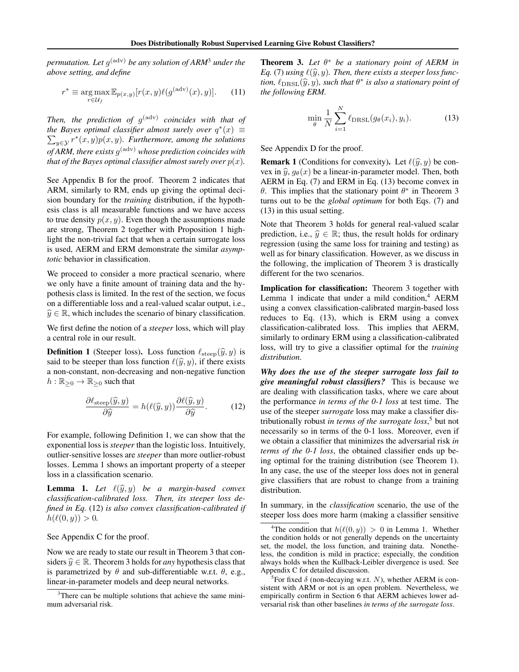*permutation. Let g*(adv) *be any solution of ARM*<sup>3</sup> *under the above setting, and define*

$$
r^* \equiv \underset{r \in \mathcal{U}_f}{\arg \max} \mathbb{E}_{p(x,y)}[r(x,y)\ell(g^{(\text{adv})}(x),y)]. \tag{11}
$$

*Then, the prediction of g*(adv) *coincides with that of the Bayes optimal classifier almost surely over*  $q^*(x) \equiv$  $\sum_{y \in \mathcal{Y}} r^*(x, y) p(x, y)$ *. Furthermore, among the solutions of ARM, there exists g*(adv) *whose prediction coincides with that of the Bayes optimal classifier almost surely over*  $p(x)$ *.* 

See Appendix B for the proof. Theorem 2 indicates that ARM, similarly to RM, ends up giving the optimal decision boundary for the *training* distribution, if the hypothesis class is all measurable functions and we have access to true density  $p(x, y)$ . Even though the assumptions made are strong, Theorem 2 together with Proposition 1 highlight the non-trivial fact that when a certain surrogate loss is used, AERM and ERM demonstrate the similar *asymptotic* behavior in classification.

We proceed to consider a more practical scenario, where we only have a finite amount of training data and the hypothesis class is limited. In the rest of the section, we focus on a differentiable loss and a real-valued scalar output, i.e.,  $\hat{y} \in \mathbb{R}$ , which includes the scenario of binary classification.

We first define the notion of a *steeper* loss, which will play a central role in our result.

**Definition 1** (Steeper loss). Loss function  $\ell_{\text{steep}}(\hat{y}, y)$  is said to be steeper than loss function  $\ell(\hat{y}, y)$ , if there exists a non-constant, non-decreasing and non-negative function  $h: \mathbb{R}_{\geq 0} \to \mathbb{R}_{\geq 0}$  such that

$$
\frac{\partial \ell_{\text{steep}}(\widehat{y}, y)}{\partial \widehat{y}} = h(\ell(\widehat{y}, y)) \frac{\partial \ell(\widehat{y}, y)}{\partial \widehat{y}}.
$$
 (12)

For example, following Definition 1, we can show that the exponential loss is *steeper* than the logistic loss. Intuitively, outlier-sensitive losses are *steeper* than more outlier-robust losses. Lemma 1 shows an important property of a steeper loss in a classification scenario.

**Lemma 1.** Let  $\ell(\widehat{y}, y)$  be a margin-based convex *classification-calibrated loss. Then, its steeper loss defined in Eq.* (12) *is also convex classification-calibrated if*  $h(\ell(0, y)) > 0.$ 

See Appendix C for the proof.

Now we are ready to state our result in Theorem 3 that considers  $\hat{y} \in \mathbb{R}$ . Theorem 3 holds for *any* hypothesis class that is parametrized by  $\theta$  and sub-differentiable w.r.t.  $\theta$ , e.g., linear-in-parameter models and deep neural networks.

Theorem 3. *Let* θ<sup>∗</sup> *be a stationary point of AERM in Eq.* (7) *using*  $\ell(\hat{y}, y)$ *. Then, there exists a steeper loss function,*  $\ell_{\text{DRSL}}(\widehat{y}, y)$ *, such that*  $\theta^*$  *is also a stationary point of the following ERM.*

$$
\min_{\theta} \frac{1}{N} \sum_{i=1}^{N} \ell_{\text{DRSL}}(g_{\theta}(x_i), y_i).
$$
 (13)

See Appendix D for the proof.

**Remark 1** (Conditions for convexity). Let  $\ell(\hat{y}, y)$  be convex in  $\hat{y}$ ,  $g_{\theta}(x)$  be a linear-in-parameter model. Then, both AERM in Eq. (7) and ERM in Eq. (13) become convex in θ. This implies that the stationary point  $θ^*$  in Theorem 3 turns out to be the *global optimum* for both Eqs. (7) and (13) in this usual setting.

Note that Theorem 3 holds for general real-valued scalar prediction, i.e.,  $\hat{y} \in \mathbb{R}$ ; thus, the result holds for ordinary regression (using the same loss for training and testing) as well as for binary classification. However, as we discuss in the following, the implication of Theorem 3 is drastically different for the two scenarios.

Implication for classification: Theorem 3 together with Lemma 1 indicate that under a mild condition, $4$  AERM using a convex classification-calibrated margin-based loss reduces to Eq. (13), which is ERM using a convex classification-calibrated loss. This implies that AERM, similarly to ordinary ERM using a classification-calibrated loss, will try to give a classifier optimal for the *training distribution*.

*Why does the use of the steeper surrogate loss fail to give meaningful robust classifiers?* This is because we are dealing with classification tasks, where we care about the performance *in terms of the 0-1 loss* at test time. The use of the steeper *surrogate* loss may make a classifier distributionally robust *in terms of the surrogate loss*, <sup>5</sup> but not necessarily so in terms of the 0-1 loss. Moreover, even if we obtain a classifier that minimizes the adversarial risk *in terms of the 0-1 loss*, the obtained classifier ends up being optimal for the training distribution (see Theorem 1). In any case, the use of the steeper loss does not in general give classifiers that are robust to change from a training distribution.

In summary, in the *classification* scenario, the use of the steeper loss does more harm (making a classifier sensitive

<sup>&</sup>lt;sup>3</sup>There can be multiple solutions that achieve the same minimum adversarial risk.

<sup>&</sup>lt;sup>4</sup>The condition that  $h(\ell(0, y)) > 0$  in Lemma 1. Whether the condition holds or not generally depends on the uncertainty set, the model, the loss function, and training data. Nonetheless, the condition is mild in practice; especially, the condition always holds when the Kullback-Leibler divergence is used. See Appendix C for detailed discussion.

<sup>&</sup>lt;sup>5</sup>For fixed  $\delta$  (non-decaying w.r.t. N), whether AERM is consistent with ARM or not is an open problem. Nevertheless, we empirically confirm in Section 6 that AERM achieves lower adversarial risk than other baselines *in terms of the surrogate loss*.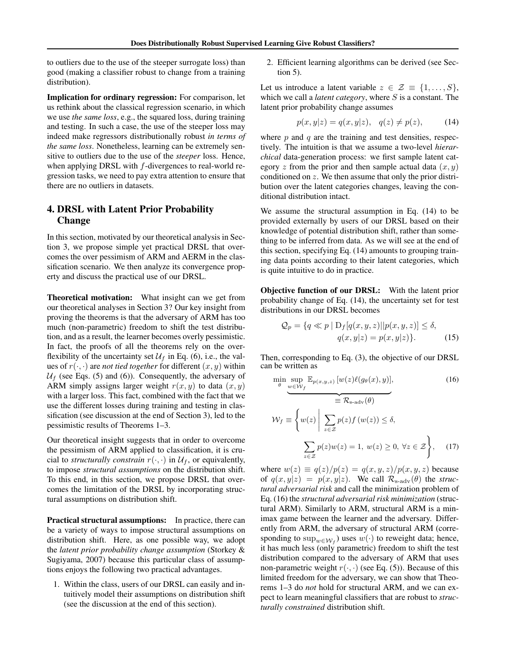to outliers due to the use of the steeper surrogate loss) than good (making a classifier robust to change from a training distribution).

Implication for ordinary regression: For comparison, let us rethink about the classical regression scenario, in which we use *the same loss*, e.g., the squared loss, during training and testing. In such a case, the use of the steeper loss may indeed make regressors distributionally robust *in terms of the same loss*. Nonetheless, learning can be extremely sensitive to outliers due to the use of the *steeper* loss. Hence, when applying DRSL with *f*-divergences to real-world regression tasks, we need to pay extra attention to ensure that there are no outliers in datasets.

# 4. DRSL with Latent Prior Probability Change

In this section, motivated by our theoretical analysis in Section 3, we propose simple yet practical DRSL that overcomes the over pessimism of ARM and AERM in the classification scenario. We then analyze its convergence property and discuss the practical use of our DRSL.

Theoretical motivation: What insight can we get from our theoretical analyses in Section 3? Our key insight from proving the theorems is that the adversary of ARM has too much (non-parametric) freedom to shift the test distribution, and as a result, the learner becomes overly pessimistic. In fact, the proofs of all the theorems rely on the overflexibility of the uncertainty set  $U_f$  in Eq. (6), i.e., the values of  $r(\cdot, \cdot)$  are *not tied together* for different  $(x, y)$  within  $U_f$  (see Eqs. (5) and (6)). Consequently, the adversary of ARM simply assigns larger weight  $r(x, y)$  to data  $(x, y)$ with a larger loss. This fact, combined with the fact that we use the different losses during training and testing in classification (see discussion at the end of Section 3), led to the pessimistic results of Theorems 1–3.

Our theoretical insight suggests that in order to overcome the pessimism of ARM applied to classification, it is crucial to *structurally constrain*  $r(\cdot, \cdot)$  in  $\mathcal{U}_f$ , or equivalently, to impose *structural assumptions* on the distribution shift. To this end, in this section, we propose DRSL that overcomes the limitation of the DRSL by incorporating structural assumptions on distribution shift.

Practical structural assumptions: In practice, there can be a variety of ways to impose structural assumptions on distribution shift. Here, as one possible way, we adopt the *latent prior probability change assumption* (Storkey & Sugiyama, 2007) because this particular class of assumptions enjoys the following two practical advantages.

1. Within the class, users of our DRSL can easily and intuitively model their assumptions on distribution shift (see the discussion at the end of this section).

2. Efficient learning algorithms can be derived (see Section 5).

Let us introduce a latent variable  $z \in \mathcal{Z} \equiv \{1, \ldots, S\},\$ which we call a *latent category*, where *S* is a constant. The latent prior probability change assumes

$$
p(x, y|z) = q(x, y|z), q(z) \neq p(z),
$$
 (14)

where *p* and *q* are the training and test densities, respectively. The intuition is that we assume a two-level *hierarchical* data-generation process: we first sample latent category  $z$  from the prior and then sample actual data  $(x, y)$ conditioned on *z*. We then assume that only the prior distribution over the latent categories changes, leaving the conditional distribution intact.

We assume the structural assumption in Eq. (14) to be provided externally by users of our DRSL based on their knowledge of potential distribution shift, rather than something to be inferred from data. As we will see at the end of this section, specifying Eq. (14) amounts to grouping training data points according to their latent categories, which is quite intuitive to do in practice.

Objective function of our DRSL: With the latent prior probability change of Eq. (14), the uncertainty set for test distributions in our DRSL becomes

$$
Q_p = \{ q \ll p \mid D_f[q(x, y, z)] | p(x, y, z)] \le \delta, q(x, y|z) = p(x, y|z) \}.
$$
 (15)

Then, corresponding to Eq. (3), the objective of our DRSL can be written as

$$
\min_{\theta} \sup_{w \in \mathcal{W}_f} \mathbb{E}_{p(x, y, z)} [w(z) \ell(g_{\theta}(x), y)],
$$
\n
$$
\widehat{\mathbb{E}_{p(y, z)}} = \widehat{\mathcal{R}}_{s-\text{adv}}(\theta)
$$
\n
$$
\mathcal{W}_f \equiv \left\{ w(z) \middle| \sum_{z \in \mathcal{Z}} p(z) f(w(z)) \le \delta, \sum_{z \in \mathcal{Z}} p(z) w(z) = 1, w(z) \ge 0, \forall z \in \mathcal{Z} \right\},
$$
\n(17)

where  $w(z) \equiv q(z)/p(z) = q(x, y, z)/p(x, y, z)$  because of  $q(x,y|z) = p(x,y|z)$ . We call  $\mathcal{R}_{s-adv}(\theta)$  the *structural adversarial risk* and call the minimization problem of Eq. (16) the *structural adversarial risk minimization* (structural ARM). Similarly to ARM, structural ARM is a minimax game between the learner and the adversary. Differently from ARM, the adversary of structural ARM (corresponding to  $\sup_{w \in \mathcal{W}_f}$  uses  $w(\cdot)$  to reweight data; hence, it has much less (only parametric) freedom to shift the test distribution compared to the adversary of ARM that uses non-parametric weight  $r(\cdot, \cdot)$  (see Eq. (5)). Because of this limited freedom for the adversary, we can show that Theorems 1–3 do *not* hold for structural ARM, and we can expect to learn meaningful classifiers that are robust to *structurally constrained* distribution shift.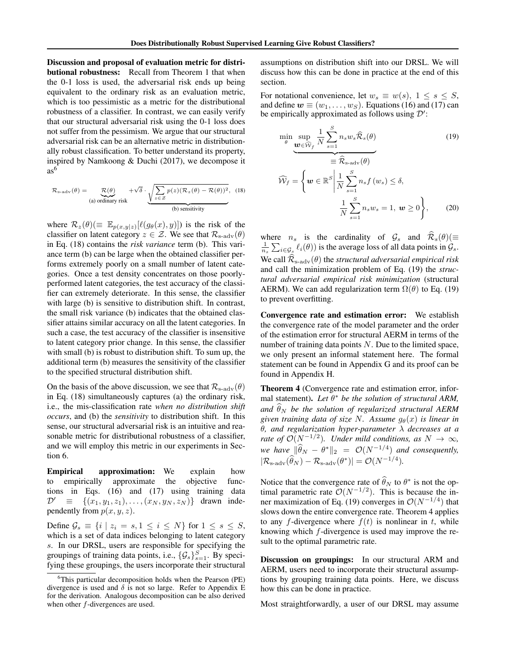Discussion and proposal of evaluation metric for distributional robustness: Recall from Theorem 1 that when the 0-1 loss is used, the adversarial risk ends up being equivalent to the ordinary risk as an evaluation metric, which is too pessimistic as a metric for the distributional robustness of a classifier. In contrast, we can easily verify that our structural adversarial risk using the 0-1 loss does not suffer from the pessimism. We argue that our structural adversarial risk can be an alternative metric in distributionally robust classification. To better understand its property, inspired by Namkoong & Duchi (2017), we decompose it  $as<sup>6</sup>$ 

$$
\mathcal{R}_{s-\text{adv}}(\theta) = \underbrace{\mathcal{R}(\theta)}_{\text{(a) ordinary risk}} + \sqrt{\delta} \cdot \underbrace{\sqrt{\sum_{z \in \mathcal{Z}} p(z)(\mathcal{R}_z(\theta) - \mathcal{R}(\theta))^2}}_{\text{(b) sensitivity}}, \quad (18)
$$

where  $\mathcal{R}_z(\theta) \equiv \mathbb{E}_{p(x,y|z)}[\ell(g_\theta(x), y)]$  is the risk of the classifier on latent category  $z \in \mathcal{Z}$ . We see that  $\mathcal{R}_{s-adv}(\theta)$ in Eq. (18) contains the *risk variance* term (b). This variance term (b) can be large when the obtained classifier performs extremely poorly on a small number of latent categories. Once a test density concentrates on those poorlyperformed latent categories, the test accuracy of the classifier can extremely deteriorate. In this sense, the classifier with large (b) is sensitive to distribution shift. In contrast, the small risk variance (b) indicates that the obtained classifier attains similar accuracy on all the latent categories. In such a case, the test accuracy of the classifier is insensitive to latent category prior change. In this sense, the classifier with small (b) is robust to distribution shift. To sum up, the additional term (b) measures the sensitivity of the classifier to the specified structural distribution shift.

On the basis of the above discussion, we see that  $\mathcal{R}_{s-adv}(\theta)$ in Eq. (18) simultaneously captures (a) the ordinary risk, i.e., the mis-classification rate *when no distribution shift occurs*, and (b) the *sensitivity* to distribution shift. In this sense, our structural adversarial risk is an intuitive and reasonable metric for distributional robustness of a classifier, and we will employ this metric in our experiments in Section 6.

Empirical approximation: We explain how to empirically approximate the objective functions in Eqs. (16) and (17) using training data  $\mathcal{D}' \equiv \{(x_1, y_1, z_1), \ldots, (x_N, y_N, z_N)\}$  drawn independently from *p*(*x, y, z*).

Define  $\mathcal{G}_s \equiv \{i \mid z_i = s, 1 \leq i \leq N\}$  for  $1 \leq s \leq S$ , which is a set of data indices belonging to latent category *s*. In our DRSL, users are responsible for specifying the groupings of training data points, i.e.,  $\{\mathcal{G}_s\}_{s=1}^S$ . By specifying these groupings, the users incorporate their structural assumptions on distribution shift into our DRSL. We will discuss how this can be done in practice at the end of this section.

For notational convenience, let  $w_s \equiv w(s)$ ,  $1 \leq s \leq S$ , and define  $w \equiv (w_1, \ldots, w_s)$ . Equations (16) and (17) can be empirically approximated as follows using *D*′ :

$$
\min_{\theta} \sup_{\mathbf{w} \in \widehat{\mathcal{W}}_f} \frac{1}{N} \sum_{s=1}^{S} n_s w_s \widehat{\mathcal{R}}_s(\theta) \qquad (19)
$$
\n
$$
\widehat{\mathcal{W}}_f = \left\{ \mathbf{w} \in \mathbb{R}^S \middle| \frac{1}{N} \sum_{s=1}^{S} n_s f(w_s) \le \delta, \frac{1}{N} \sum_{s=1}^{S} n_s w_s = 1, \mathbf{w} \ge 0 \right\}, \qquad (20)
$$

where *n<sub>s</sub>* is the cardinality of  $\mathcal{G}_s$  and  $\hat{\mathcal{R}}_s(\theta) (\equiv$  $\frac{1}{n_s} \sum_{i \in \mathcal{G}_s} \ell_i(\theta)$  is the average loss of all data points in  $\mathcal{G}_s$ . We call  $\widehat{\mathcal{R}}_{s-adv}(\theta)$  the *structural adversarial empirical risk* and call the minimization problem of Eq. (19) the *structural adversarial empirical risk minimization* (structural AERM). We can add regularization term  $\Omega(\theta)$  to Eq. (19) to prevent overfitting.

Convergence rate and estimation error: We establish the convergence rate of the model parameter and the order of the estimation error for structural AERM in terms of the number of training data points *N*. Due to the limited space, we only present an informal statement here. The formal statement can be found in Appendix G and its proof can be found in Appendix H.

Theorem 4 (Convergence rate and estimation error, informal statement). *Let* θ<sup>∗</sup> *be the solution of structural ARM,* and  $\theta_N$  be the solution of regularized structural AERM *given training data of size N. Assume*  $g_{\theta}(x)$  *is linear in* θ*, and regularization hyper-parameter* λ *decreases at a rate of*  $O(N^{-1/2})$ *. Under mild conditions, as*  $N \to \infty$ *, we have*  $\|\hat{\theta}_N - \theta^*\|_2 = O(N^{-1/4})$  *and consequently,*  $|\mathcal{R}_{\text{s-adv}}(\hat{\theta}_N) - \mathcal{R}_{\text{s-adv}}(\theta^*)| = \mathcal{O}(N^{-1/4}).$ 

Notice that the convergence rate of  $\theta_N$  to  $\theta^*$  is not the optimal parametric rate  $O(N^{-1/2})$ . This is because the inner maximization of Eq. (19) converges in  $\mathcal{O}(N^{-1/4})$  that slows down the entire convergence rate. Theorem 4 applies to any *f*-divergence where  $f(t)$  is nonlinear in *t*, while knowing which *f*-divergence is used may improve the result to the optimal parametric rate.

Discussion on groupings: In our structural ARM and AERM, users need to incorporate their structural assumptions by grouping training data points. Here, we discuss how this can be done in practice.

Most straightforwardly, a user of our DRSL may assume

<sup>&</sup>lt;sup>6</sup>This particular decomposition holds when the Pearson (PE) divergence is used and  $\delta$  is not so large. Refer to Appendix E for the derivation. Analogous decomposition can be also derived when other *f*-divergences are used.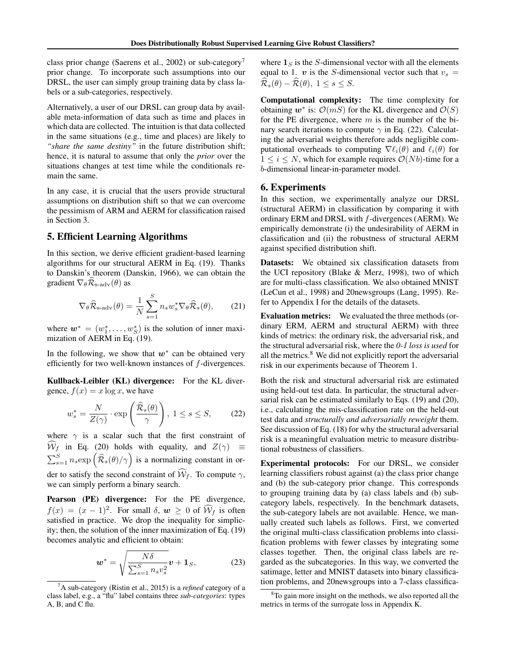class prior change (Saerens et al., 2002) or sub-category<sup>7</sup> prior change. To incorporate such assumptions into our DRSL, the user can simply group training data by class labels or a sub-categories, respectively.

Alternatively, a user of our DRSL can group data by available meta-information of data such as time and places in which data are collected. The intuition is that data collected in the same situations (e.g., time and places) are likely to *"share the same destiny"* in the future distribution shift; hence, it is natural to assume that only the *prior* over the situations changes at test time while the conditionals remain the same.

In any case, it is crucial that the users provide structural assumptions on distribution shift so that we can overcome the pessimism of ARM and AERM for classification raised in Section 3.

## 5. Efficient Learning Algorithms

In this section, we derive efficient gradient-based learning algorithms for our structural AERM in Eq. (19). Thanks to Danskin's theorem (Danskin, 1966), we can obtain the gradient  $\nabla_{\theta} \mathcal{R}_{\text{s-adv}}(\theta)$  as

$$
\nabla_{\theta} \widehat{\mathcal{R}}_{\text{s-adv}}(\theta) = \frac{1}{N} \sum_{s=1}^{S} n_s w_s^* \nabla_{\theta} \widehat{\mathcal{R}}_s(\theta), \qquad (21)
$$

where  $w^* = (w_1^*, \ldots, w_S^*)$  is the solution of inner maximization of AERM in Eq. (19).

In the following, we show that *w*<sup>∗</sup> can be obtained very efficiently for two well-known instances of *f*-divergences.

Kullback-Leibler (KL) divergence: For the KL divergence,  $f(x) = x \log x$ , we have

$$
w_s^* = \frac{N}{Z(\gamma)} \cdot \exp\left(\frac{\widehat{\mathcal{R}}_s(\theta)}{\gamma}\right), \ 1 \le s \le S,
$$
 (22)

where  $\gamma$  is a scalar such that the first constraint of  $W_f$  in Eq. (20) holds with equality, and  $Z(\gamma) \equiv$  $\sum_{s=1}^{S} n_s \exp\left(\widehat{\mathcal{R}}_s(\theta)/\gamma\right)$  is a normalizing constant in order to satisfy the second constraint of  $W_f$ . To compute  $\gamma$ , we can simply perform a binary search.

Pearson (PE) divergence: For the PE divergence,  $f(x) = (x - 1)^2$ . For small  $\delta, w \ge 0$  of  $\widehat{\mathcal{W}}_f$  is often satisfied in practice. We drop the inequality for simplicity; then, the solution of the inner maximization of Eq. (19) becomes analytic and efficient to obtain:

$$
\boldsymbol{w}^* = \sqrt{\frac{N\delta}{\sum_{s=1}^S n_s v_s^2}} \boldsymbol{v} + \mathbf{1}_S, \tag{23}
$$

where  $\mathbf{1}_S$  is the *S*-dimensional vector with all the elements equal to 1.  $v$  is the *S*-dimensional vector such that  $v_s =$  $\widehat{\mathcal{R}}_s(\theta) - \widehat{\mathcal{R}}(\theta), 1 \leq s \leq S.$ 

Computational complexity: The time complexity for obtaining  $w^*$  is:  $\mathcal{O}(mS)$  for the KL divergence and  $\mathcal{O}(S)$ for the PE divergence, where *m* is the number of the binary search iterations to compute  $\gamma$  in Eq. (22). Calculating the adversarial weights therefore adds negligible computational overheads to computing  $\nabla \ell_i(\theta)$  and  $\ell_i(\theta)$  for  $1 \leq i \leq N$ , which for example requires  $O(Nb)$ -time for a *b*-dimensional linear-in-parameter model.

#### 6. Experiments

In this section, we experimentally analyze our DRSL (structural AERM) in classification by comparing it with ordinary ERM and DRSL with *f*-divergences (AERM). We empirically demonstrate (i) the undesirability of AERM in classification and (ii) the robustness of structural AERM against specified distribution shift.

Datasets: We obtained six classification datasets from the UCI repository (Blake & Merz, 1998), two of which are for multi-class classification. We also obtained MNIST (LeCun et al., 1998) and 20newsgroups (Lang, 1995). Refer to Appendix I for the details of the datasets.

Evaluation metrics: We evaluated the three methods (ordinary ERM, AERM and structural AERM) with three kinds of metrics: the ordinary risk, the adversarial risk, and the structural adversarial risk, where the *0-1 loss is used* for all the metrics.<sup>8</sup> We did not explicitly report the adversarial risk in our experiments because of Theorem 1.

Both the risk and structural adversarial risk are estimated using held-out test data. In particular, the structural adversarial risk can be estimated similarly to Eqs. (19) and (20), i.e., calculating the mis-classification rate on the held-out test data and *structurally and adversarially reweight* them. See discussion of Eq. (18) for why the structural adversarial risk is a meaningful evaluation metric to measure distributional robustness of classifiers.

Experimental protocols: For our DRSL, we consider learning classifiers robust against (a) the class prior change and (b) the sub-category prior change. This corresponds to grouping training data by (a) class labels and (b) subcategory labels, respectively. In the benchmark datasets, the sub-category labels are not available. Hence, we manually created such labels as follows. First, we converted the original multi-class classification problems into classification problems with fewer classes by integrating some classes together. Then, the original class labels are regarded as the subcategories. In this way, we converted the satimage, letter and MNIST datasets into binary classification problems, and 20newsgroups into a 7-class classifica-

<sup>7</sup> A sub-category (Ristin et al., 2015) is a *refined* category of a class label, e.g., a "flu" label contains three *sub-categories*: types A, B, and C flu.

<sup>&</sup>lt;sup>8</sup>To gain more insight on the methods, we also reported all the metrics in terms of the surrogate loss in Appendix K.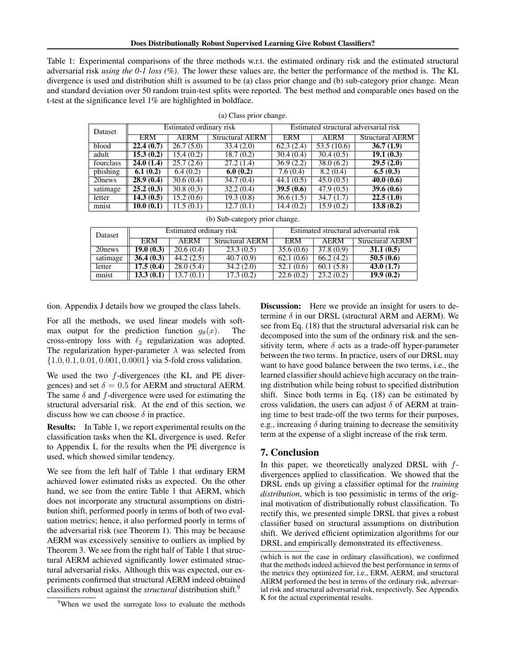Table 1: Experimental comparisons of the three methods w.r.t. the estimated ordinary risk and the estimated structural adversarial risk *using the 0-1 loss (%)*. The lower these values are, the better the performance of the method is. The KL divergence is used and distribution shift is assumed to be (a) class prior change and (b) sub-category prior change. Mean and standard deviation over 50 random train-test splits were reported. The best method and comparable ones based on the t-test at the significance level 1% are highlighted in boldface.

| Dataset   | Estimated ordinary risk |             | Estimated structural adversarial risk |           |                         |                        |
|-----------|-------------------------|-------------|---------------------------------------|-----------|-------------------------|------------------------|
|           | ERM                     | <b>AERM</b> | <b>Structural AERM</b>                | ERM       | <b>AERM</b>             | <b>Structural AERM</b> |
| blood     | 22.4(0.7)               | 26.7(5.0)   | 33.4(2.0)                             | 62.3(2.4) | $\overline{53.5(10.6)}$ | 36.7(1.9)              |
| adult     | 15.3(0.2)               | 15.4(0.2)   | 18.7(0.2)                             | 30.4(0.4) | 30.4(0.5)               | 19.1(0.3)              |
| fourclass | 24.0(1.4)               | 25.7(2.6)   | 27.2(1.4)                             | 36.9(2.2) | 38.0(6.2)               | 29.5(2.0)              |
| phishing  | 6.1(0.2)                | 6.4(0.2)    | 6.0(0.2)                              | 7.6(0.4)  | 8.2(0.4)                | 6.5(0.3)               |
| 20 news   | 28.9(0.4)               | 30.6(0.4)   | 34.7(0.4)                             | 44.1(0.5) | 45.0(0.5)               | 40.0(0.6)              |
| satimage  | 25.2(0.3)               | 30.8(0.3)   | 32.2(0.4)                             | 39.5(0.6) | 47.9(0.5)               | 39.6(0.6)              |
| letter    | 14.3(0.5)               | 15.2(0.6)   | 19.3(0.8)                             | 36.6(1.5) | 34.7(1.7)               | 22.5(1.0)              |
| mnist     | 10.0(0.1)               | 11.5(0.1)   | $\overline{12.7}(0.1)$                | 14.4(0.2) | 15.9(0.2)               | 13.8(0.2)              |

|  | (a) Class prior change. |
|--|-------------------------|
|  |                         |

| (b) Sub-category prior change. |  |
|--------------------------------|--|
|                                |  |

| Dataset  | Estimated ordinary risk |           | Estimated structural adversarial risk |            |           |                 |
|----------|-------------------------|-----------|---------------------------------------|------------|-----------|-----------------|
|          | <b>ERM</b>              | AERM      | <b>Structural AERM</b>                | <b>ERM</b> | AERM      | Structural AERM |
| 20 news  | 19.0(0.3)               | 20.6(0.4) | 23.3(0.5)                             | 35.6(0.6)  | 37.8(0.9) | 31.1(0.5)       |
| satimage | 36.4(0.3)               | 44.2(2.5) | 40.7(0.9)                             | 62.1(0.6)  | 66.2(4.2) | 50.5(0.6)       |
| letter   | 17.5(0.4)               | 28.0(5.4) | 34.2(2.0)                             | 52.1(0.6)  | 60.1(5.8) | 43.0(1.7)       |
| mnist    | 13.3(0.1)               | 13.7(0.1) | 17.3(0.2)                             | 22.6(0.2)  | 23.2(0.2) | 19.9(0.2)       |

tion. Appendix J details how we grouped the class labels.

For all the methods, we used linear models with softmax output for the prediction function  $g_{\theta}(x)$ . The cross-entropy loss with  $\ell_2$  regularization was adopted. The regularization hyper-parameter  $\lambda$  was selected from *{*1*.*0*,* 0*.*1*,* 0*.*01*,* 0*.*001*,* 0*.*0001*}* via 5-fold cross validation.

We used the two *f*-divergences (the KL and PE divergences) and set  $\delta = 0.5$  for AERM and structural AERM. The same  $\delta$  and  $f$ -divergence were used for estimating the structural adversarial risk. At the end of this section, we discuss how we can choose  $\delta$  in practice.

Results: In Table 1, we report experimental results on the classification tasks when the KL divergence is used. Refer to Appendix L for the results when the PE divergence is used, which showed similar tendency.

We see from the left half of Table 1 that ordinary ERM achieved lower estimated risks as expected. On the other hand, we see from the entire Table 1 that AERM, which does not incorporate any structural assumptions on distribution shift, performed poorly in terms of both of two evaluation metrics; hence, it also performed poorly in terms of the adversarial risk (see Theorem 1). This may be because AERM was excessively sensitive to outliers as implied by Theorem 3. We see from the right half of Table 1 that structural AERM achieved significantly lower estimated structural adversarial risks. Although this was expected, our experiments confirmed that structural AERM indeed obtained classifiers robust against the *structural* distribution shift.9

**Discussion:** Here we provide an insight for users to determine  $\delta$  in our DRSL (structural ARM and AERM). We see from Eq. (18) that the structural adversarial risk can be decomposed into the sum of the ordinary risk and the sensitivity term, where  $\delta$  acts as a trade-off hyper-parameter between the two terms. In practice, users of our DRSL may want to have good balance between the two terms, i.e., the learned classifier should achieve high accuracy on the training distribution while being robust to specified distribution shift. Since both terms in Eq. (18) can be estimated by cross validation, the users can adjust  $\delta$  of AERM at training time to best trade-off the two terms for their purposes, e.g., increasing  $\delta$  during training to decrease the sensitivity term at the expense of a slight increase of the risk term.

#### 7. Conclusion

In this paper, we theoretically analyzed DRSL with *f*divergences applied to classification. We showed that the DRSL ends up giving a classifier optimal for the *training distribution*, which is too pessimistic in terms of the original motivation of distributionally robust classification. To rectify this, we presented simple DRSL that gives a robust classifier based on structural assumptions on distribution shift. We derived efficient optimization algorithms for our DRSL and empirically demonstrated its effectiveness.

<sup>&</sup>lt;sup>9</sup>When we used the surrogate loss to evaluate the methods

<sup>(</sup>which is not the case in ordinary classification), we confirmed that the methods indeed achieved the best performance in terms of the metrics they optimized for, i.e., ERM, AERM, and structural AERM performed the best in terms of the ordinary risk, adversarial risk and structural adversarial risk, respectively. See Appendix K for the actual experimental results.